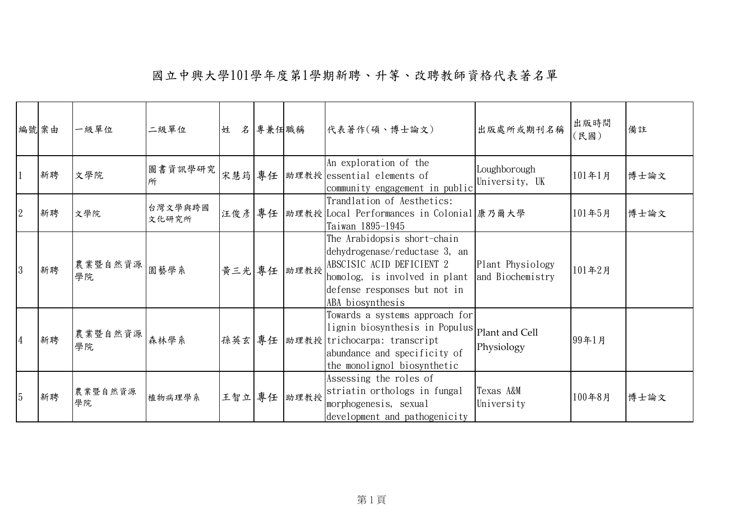|                | 編號案由 | 一級單位          | 二級單位             | 姓      | 名 專兼任職稱 |             | 代表著作(碩、博士論文)                                                                                                                                                                                    | 出版處所或期刊名稱                            | 出版時間<br>(民國) | 備註   |
|----------------|------|---------------|------------------|--------|---------|-------------|-------------------------------------------------------------------------------------------------------------------------------------------------------------------------------------------------|--------------------------------------|--------------|------|
|                | 新聘   | 文學院           | 圖書資訊學研究<br>所     |        |         |             | An exploration of the<br>宋慧筠 專任   助理教授   essential elements of<br>community engagement in public                                                                                                | Loughborough<br>University, UK       | 101年1月       | 博士論文 |
| $\overline{2}$ | 新聘   | 文學院           | 台灣文學與跨國<br>文化研究所 | 汪俊彦 專任 |         |             | Trandlation of Aesthetics:<br> 助理教授 Local Performances in Colonial  康乃爾大學<br>Taiwan 1895-1945                                                                                                   |                                      | 101年5月       | 博士論文 |
| 3              | 新聘   | 農業暨自然資源<br>學院 | 園藝學系             |        |         | 黃三光 專任 助理教授 | The Arabidopsis short-chain<br>dehydrogenase/reductase 3, an<br>ABSCISIC ACID DEFICIENT 2<br>homolog, is involved in plant<br>defense responses but not in<br>ABA biosynthesis                  | Plant Physiology<br>and Biochemistry | 101年2月       |      |
| 4              | 新聘   | 農業暨自然資源<br>學院 | 森林學系             |        |         |             | Towards a systems approach for<br>lignin biosynthesis in Populus $ _{\rm Plant}$ and Cell<br>孫英玄 專任 助理教授 trichocarpa: transcript<br>abundance and specificity of<br>the monolignol biosynthetic | Physiology                           | 99年1月        |      |
| 5              | 新聘   | 農業暨自然資源<br>學院 | 植物病理學系           |        |         | 王智立 專任 助理教授 | Assessing the roles of<br>striatin orthologs in fungal<br>morphogenesis, sexual<br>development and pathogenicity                                                                                | Texas A&M<br>University              | 100年8月       | 博士論文 |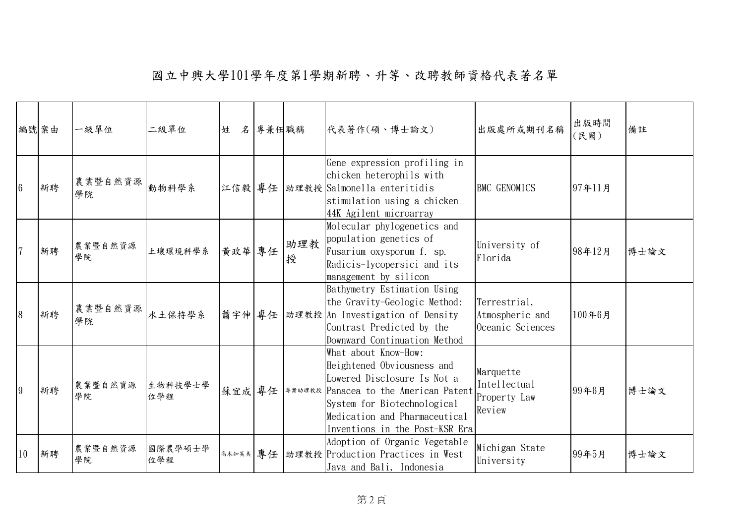| 編號 案由           |    | 一級單位           | 二級單位           | 姓      | 名專兼任職稱 |          | 代表著作(碩、博士論文)                                                                                                                                                                                                                               | 出版處所或期刊名稱                                           | 出版時間<br>(民國) | 備註   |
|-----------------|----|----------------|----------------|--------|--------|----------|--------------------------------------------------------------------------------------------------------------------------------------------------------------------------------------------------------------------------------------------|-----------------------------------------------------|--------------|------|
| $6\phantom{.}6$ | 新聘 | 農業暨自然資源 <br>學院 | 動物科學系          |        |        |          | Gene expression profiling in<br>chicken heterophils with<br>江信毅 專任 助理教授 Salmonella enteritidis<br>stimulation using a chicken<br>44K Agilent microarray                                                                                    | <b>BMC GENOMICS</b>                                 | 97年11月       |      |
| $\overline{7}$  | 新聘 | 農業暨自然資源<br>學院  | 土壤環境科學系        | 黃政華 專任 |        | 助理教<br>授 | Molecular phylogenetics and<br>population genetics of<br>Fusarium oxysporum f. sp.<br>Radicis-lycopersici and its<br>management by silicon                                                                                                 | University of<br>Florida                            | 98年12月       | 博士論文 |
| 8               | 新聘 | 農業暨自然資源 <br>學院 | 水土保持學系         |        |        |          | Bathymetry Estimation Using<br>the Gravity-Geologic Method:<br> 蕭宇伸 專任  助理教授 An Investigation of Density<br>Contrast Predicted by the<br>Downward Continuation Method                                                                      | Terrestrial,<br>Atmospheric and<br>Oceanic Sciences | 100年6月       |      |
| 9               | 新聘 | 農業暨自然資源<br>學院  | 生物科技學士學<br>位學程 |        |        |          | What about Know-How:<br>Heightened Obviousness and<br>Lowered Disclosure Is Not a<br>蘇宜成 專任   * * » # # * Panacea to the American Patent<br>System for Biotechnological<br>Medication and Pharmaceutical<br>Inventions in the Post-KSR Era | Marquette<br>Intellectual<br>Property Law<br>Review | 99年6月        | 博士論文 |
| 10              | 新聘 | 農業暨自然資源<br>學院  | 國際農學碩士學<br>位學程 |        |        |          | Adoption of Organic Vegetable<br>高木知芙美 專任 助理教授 Production Practices in West<br>Java and Bali, Indonesia                                                                                                                                    | Michigan State<br>University                        | 99年5月        | 博士論文 |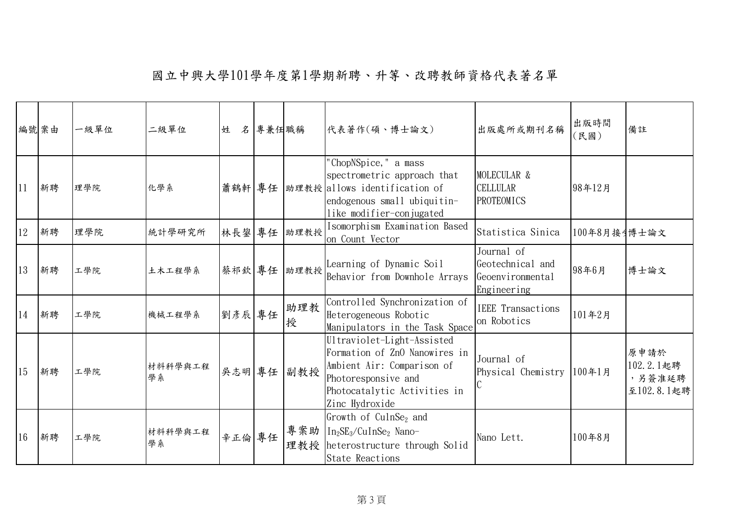| 編號案由 |    | 一級單位 | 二級單位          | 姓      | 名專兼任職稱 |             | 代表著作(碩、博士論文)                                                                                                                                                       | 出版處所或期刊名稱                                                         | 出版時間<br>〔民國〕 | 備註                                        |
|------|----|------|---------------|--------|--------|-------------|--------------------------------------------------------------------------------------------------------------------------------------------------------------------|-------------------------------------------------------------------|--------------|-------------------------------------------|
| 11   | 新聘 | 理學院  | 化學系           |        |        |             | "ChopNSpice," a mass<br>spectrometric approach that<br> 蕭鶴軒 專任  助理教授 allows identification of<br>endogenous small ubiquitin-<br>like modifier-conjugated           | MOLECULAR &<br><b>CELLULAR</b><br>PROTEOMICS                      | 98年12月       |                                           |
| 12   | 新聘 | 理學院  | 統計學研究所        | 林長鋆 專任 |        | 助理教授        | Isomorphism Examination Based<br>on Count Vector                                                                                                                   | Statistica Sinica                                                 | 100年8月接引博士論文 |                                           |
| 13   | 新聘 | 工學院  | 土木工程學系        |        |        | 蔡祁欽 專任 助理教授 | Learning of Dynamic Soil<br>Behavior from Downhole Arrays                                                                                                          | Journal of<br>Geotechnical and<br>Geoenvironmental<br>Engineering | 98年6月        | 博士論文                                      |
| 14   | 新聘 | 工學院  | 機械工程學系        | 劉彥辰專任  |        | 助理教<br>授    | Controlled Synchronization of<br>Heterogeneous Robotic<br>Manipulators in the Task Space                                                                           | <b>IEEE</b> Transactions<br>on Robotics                           | 101年2月       |                                           |
| 15   | 新聘 | 工學院  | 材料科學與工程<br>學系 |        |        | 吳志明 專任 副教授  | Ultraviolet-Light-Assisted<br>Formation of ZnO Nanowires in<br>Ambient Air: Comparison of<br>Photoresponsive and<br>Photocatalytic Activities in<br>Zinc Hydroxide | Journal of<br>Physical Chemistry                                  | 100年1月       | 原申請於<br>102.2.1起聘<br>,另簽准延聘<br>至102.8.1起聘 |
| 16   | 新聘 | 工學院  | 材料科學與工程<br>學系 | 辛正倫專任  |        |             | Growth of $CulnSe2$ and<br>專案助 In <sub>2</sub> SE <sub>3</sub> /CuInSe <sub>2</sub> Nano-<br>理教授 heterostructure through Solid<br><b>State Reactions</b>           | Nano Lett.                                                        | 100年8月       |                                           |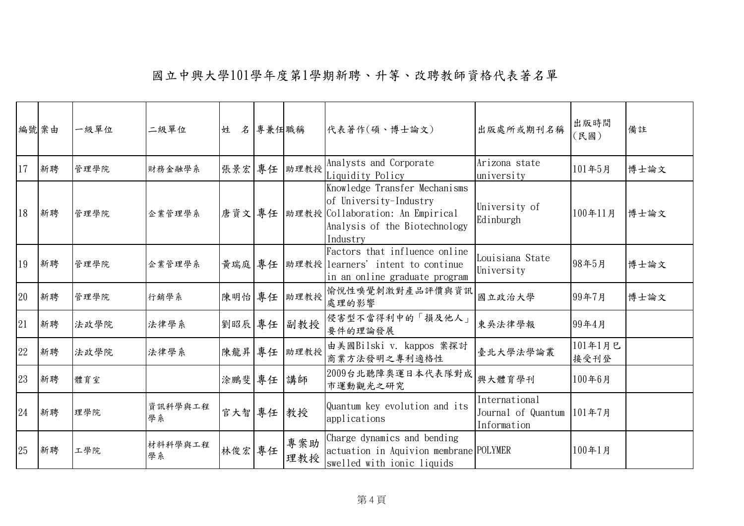| 編號案由 |    | 一級單位 | 二級單位          | 姓         | 名專兼任職稱 |              | 代表著作(碩、博士論文)                                                                                                                                        | 出版處所或期刊名稱                                                 | 出版時間<br>〔民國〕    | 備註   |
|------|----|------|---------------|-----------|--------|--------------|-----------------------------------------------------------------------------------------------------------------------------------------------------|-----------------------------------------------------------|-----------------|------|
| 17   | 新聘 | 管理學院 | 財務金融學系        |           |        | 張景宏 專任  助理教授 | Analysts and Corporate<br>Liquidity Policy                                                                                                          | Arizona state<br>university                               | 101年5月          | 博士論文 |
| 18   | 新聘 | 管理學院 | 企業管理學系        |           |        |              | Knowledge Transfer Mechanisms<br>of University-Industry<br>唐資文 專任   助理教授   Collaboration: An Empirical<br>Analysis of the Biotechnology<br>Industry | University of<br>Edinburgh                                | 100年11月         | 博士論文 |
| 19   | 新聘 | 管理學院 | 企業管理學系        |           |        |              | Factors that influence online<br>黃瑞庭 專任   助理教授   learners' intent to continue<br>in an online graduate program                                      | Louisiana State<br>University                             | 98年5月           | 博士論文 |
| 20   | 新聘 | 管理學院 | 行銷學系          |           |        | 陳明怡 專任 助理教授  | 愉悅性嗅覺刺激對產品評價與資訊<br>處理的影響                                                                                                                            | 國立政治大學                                                    | 99年7月           | 博士論文 |
| 21   | 新聘 | 法政學院 | 法律學系          | 劉昭辰 專任    |        | 副教授          | 侵害型不當得利中的「損及他人」<br>要件的理論發展                                                                                                                          | 東吳法律學報                                                    | 99年4月           |      |
| 22   | 新聘 | 法政學院 | 法律學系          |           |        | 陳龍昇 專任 助理教授  | 由美國Bilski v. kappos 案探討<br>商業方法發明之專利適格性                                                                                                             | 臺北大學法學論叢                                                  | 101年1月已<br>接受刊登 |      |
| 23   | 新聘 | 體育室  |               | 涂鵬斐 專任 講師 |        |              | 2009台北聽障奧運日本代表隊對成<br>市運動觀光之研究                                                                                                                       | 興大體育學刊                                                    | 100年6月          |      |
| 24   | 新聘 | 理學院  | 資訊科學與工程<br>學系 | 官大智 專任 教授 |        |              | Quantum key evolution and its<br>applications                                                                                                       | International<br>Journal of Quantum 101年7月<br>Information |                 |      |
| 25   | 新聘 | 工學院  | 材料科學與工程<br>學系 | 林俊宏 專任    |        | 專案助<br>理教授   | Charge dynamics and bending<br>actuation in Aquivion membrane POLYMER<br>swelled with ionic liquids                                                 |                                                           | 100年1月          |      |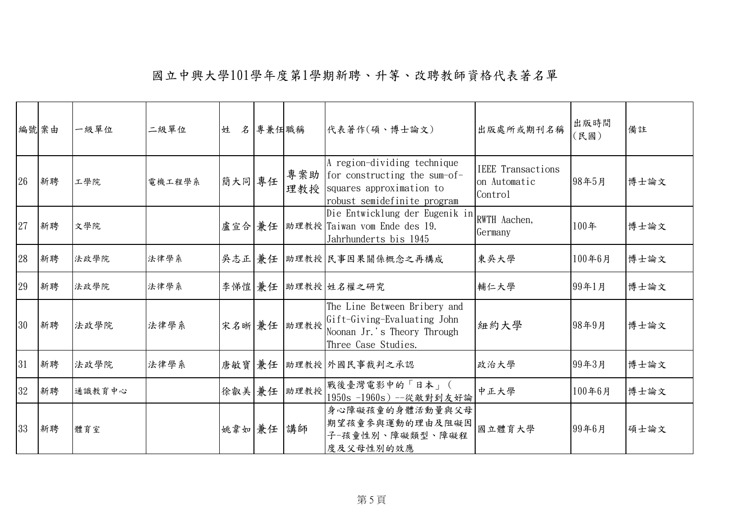|    | 編號案由 | 一級單位   | 二級單位   | 姓       | 名專兼任職稱 |             | 代表著作(碩、博士論文)                                                                                                                                | 出版處所或期刊名稱                                           | 出版時間<br>(民國) | 備註   |
|----|------|--------|--------|---------|--------|-------------|---------------------------------------------------------------------------------------------------------------------------------------------|-----------------------------------------------------|--------------|------|
| 26 | 新聘   | 工學院    | 電機工程學系 |         |        |             | A region-dividing technique<br> 簡大同  專任   專案助   for constructing the sum-of-<br>理教授 squares approximation to<br>robust semidefinite program | <b>IEEE</b> Transactions<br>on Automatic<br>Control | 98年5月        | 博士論文 |
| 27 | 新聘   | 文學院    |        |         |        |             | Die Entwicklung der Eugenik in<br>盧宣合 兼任 助理教授 Taiwan vom Ende des 19.<br>Jahrhunderts bis 1945                                              | RWTH Aachen,<br>Germany                             | 100年         | 博士論文 |
| 28 | 新聘   | 法政學院   | 法律學系   |         |        |             | 吴志正 兼任 助理教授 民事因果關係概念之再構成                                                                                                                    | 東吳大學                                                | 100年6月       | 博士論文 |
| 29 | 新聘   | 法政學院   | 法律學系   |         |        |             | 李悌愷 兼任 助理教授 姓名權之研究                                                                                                                          | 輔仁大學                                                | 99年1月        | 博士論文 |
| 30 | 新聘   | 法政學院   | 法律學系   |         |        |             | The Line Between Bribery and<br> 宋名晰  兼任   助理教授  Gift-Giving-Evaluating John<br>Noonan Jr.'s Theory Through<br>Three Case Studies.          | 紐約大學                                                | 98年9月        | 博士論文 |
| 31 | 新聘   | 法政學院   | 法律學系   |         |        |             | 唐敏寶 兼任 助理教授 外國民事裁判之承認                                                                                                                       | 政治大學                                                | 99年3月        | 博士論文 |
| 32 | 新聘   | 通識教育中心 |        |         |        | 徐叡美 兼任 助理教授 | 戰後臺灣電影中的「日本」(<br>1950s -1960s) --從敵對到友好論                                                                                                    | 中正大學                                                | 100年6月       | 博士論文 |
| 33 | 新聘   | 體育室    |        | 姚韋如兼任講師 |        |             | 身心障礙孩童的身體活動量與父母<br>期望孩童参與運動的理由及阻礙因<br>子-孩童性別、障礙類型、障礙程<br>度及父母性别的效應                                                                          | 國立體育大學                                              | 99年6月        | 碩士論文 |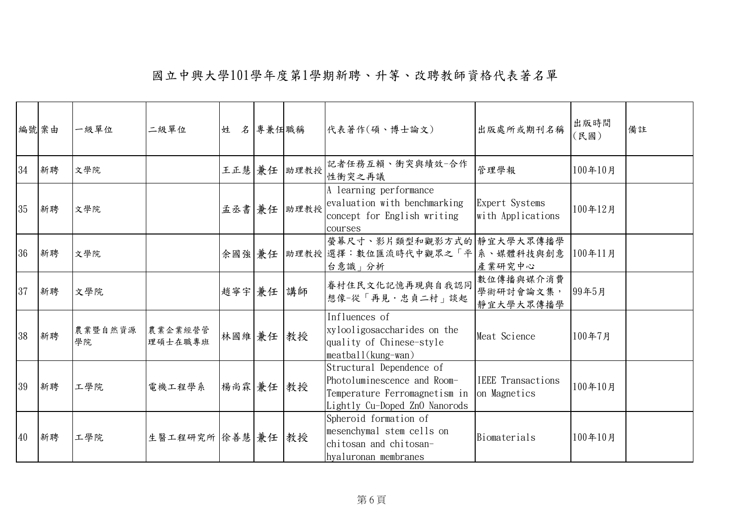|    | 編號案由 | 一級單位          | 二級單位               | 姓         | 名 專兼任職稱 |             | 代表著作(碩、博士論文)                                                                                                              | 出版處所或期刊名稱                                | 出版時間<br>(民國) | 備註 |
|----|------|---------------|--------------------|-----------|---------|-------------|---------------------------------------------------------------------------------------------------------------------------|------------------------------------------|--------------|----|
| 34 | 新聘   | 文學院           |                    |           |         | 王正慧 兼任 助理教授 | 記者任務互賴、衝突與績效一合作<br>性衝突之再議                                                                                                 | 管理學報                                     | 100年10月      |    |
| 35 | 新聘   | 文學院           |                    |           |         | 孟丞書 兼任 助理教授 | A learning performance<br>evaluation with benchmarking<br>concept for English writing<br>courses                          | Expert Systems<br>with Applications      | 100年12月      |    |
| 36 | 新聘   | 文學院           |                    |           |         |             | 螢幕尺寸、影片類型和觀影方式的 靜宜大學大眾傳播學<br>余國強 兼任 助理教授 選擇:數位匯流時代中觀眾之「平 系、媒體科技與創意<br>台意識」分析                                              | 產業研究中心                                   | 100年11月      |    |
| 37 | 新聘   | 文學院           |                    | 趙寧宇 兼任 講師 |         |             | 眷村住民文化記憶再現與自我認同<br>想像-從「再見·忠貞二村」談起                                                                                        | 數位傳播與媒介消費<br>學術研討會論文集,<br>靜宜大學大眾傳播學      | 99年5月        |    |
| 38 | 新聘   | 農業暨自然資源<br>學院 | 農業企業經營管<br>理碩士在職專班 | 林國維 兼任 教授 |         |             | Influences of<br>xylooligosaccharides on the<br>quality of Chinese-style<br>meatball(kung-wan)                            | Meat Science                             | 100年7月       |    |
| 39 | 新聘   | 工學院           | 電機工程學系             | 楊尚霖 兼任 教授 |         |             | Structural Dependence of<br>Photoluminescence and Room-<br>Temperature Ferromagnetism in<br>Lightly Cu-Doped ZnO Nanorods | <b>IEEE</b> Transactions<br>on Magnetics | 100年10月      |    |
| 40 | 新聘   | 工學院           | 生醫工程研究所 徐善慧 兼任     |           |         | 教授          | Spheroid formation of<br>mesenchymal stem cells on<br>chitosan and chitosan-<br>hyaluronan membranes                      | Biomaterials                             | 100年10月      |    |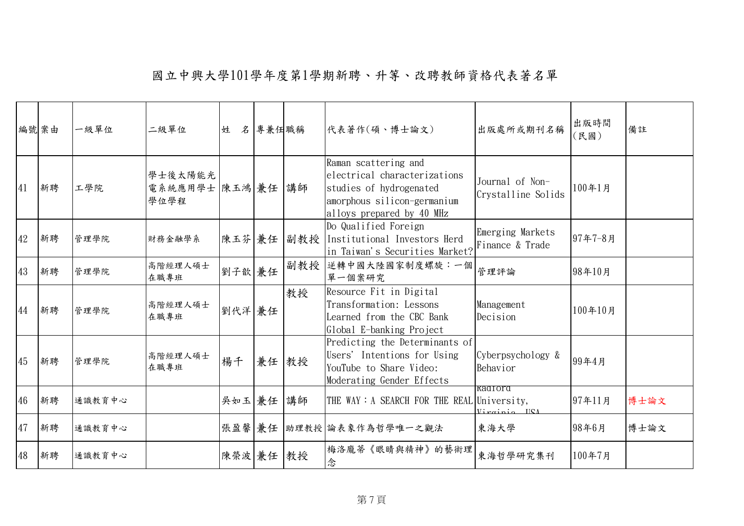| 編號案由 |    | 一級單位   | 二級單位                                 | 姓         | 名 專兼任職稱 |            | 代表著作(碩、博士論文)                                                                                                                                | 出版處所或期刊名稱                             | 出版時間<br>(民國) | 備註   |
|------|----|--------|--------------------------------------|-----------|---------|------------|---------------------------------------------------------------------------------------------------------------------------------------------|---------------------------------------|--------------|------|
| 41   | 新聘 | 工學院    | 學士後太陽能光<br>電系統應用學士 陳玉鴻 兼任 講師<br>學位學程 |           |         |            | Raman scattering and<br>electrical characterizations<br>studies of hydrogenated<br>amorphous silicon-germanium<br>alloys prepared by 40 MHz | Journal of Non-<br>Crystalline Solids | 100年1月       |      |
| 42   | 新聘 | 管理學院   | 財務金融學系                               |           |         | 陳玉芬 兼任 副教授 | Do Qualified Foreign<br>Institutional Investors Herd<br>in Taiwan's Securities Market?                                                      | Emerging Markets<br>Finance & Trade   | 97年7-8月      |      |
| 43   | 新聘 | 管理學院   | 高階經理人碩士<br>在職專班                      | 劉子歆兼任     |         | 副教授        | 逆轉中國大陸國家制度螺旋:一個<br>單一個案研究                                                                                                                   | 管理評論                                  | 98年10月       |      |
| 44   | 新聘 | 管理學院   | 高階經理人碩士<br>在職專班                      | 劉代洋兼任     |         | 教授         | Resource Fit in Digital<br>Transformation: Lessons<br>Learned from the CBC Bank<br>Global E-banking Project                                 | Management<br>Decision                | 100年10月      |      |
| 45   | 新聘 | 管理學院   | 高階經理人碩士<br>在職專班                      | 楊千        | 兼任 教授   |            | Predicting the Determinants of<br>Users' Intentions for Using<br>YouTube to Share Video:<br>Moderating Gender Effects                       | Cyberpsychology &<br>Behavior         | 99年4月        |      |
| 46   | 新聘 | 通識教育中心 |                                      | 吳如玉 兼任 講師 |         |            | THE WAY: A SEARCH FOR THE REAL University,                                                                                                  | kadiord<br>$Vircino$ $IICA$           | 97年11月       | 博士論文 |
| 47   | 新聘 | 通識教育中心 |                                      |           |         |            | 張盈馨 兼任 助理教授 論表象作為哲學唯一之觀法                                                                                                                    | 東海大學                                  | 98年6月        | 博士論文 |
| 48   | 新聘 | 通識教育中心 |                                      | 陳榮波 兼任 教授 |         |            | 梅洛龐蒂《眼睛與精神》的藝術理<br>念                                                                                                                        | 東海哲學研究集刊                              | 100年7月       |      |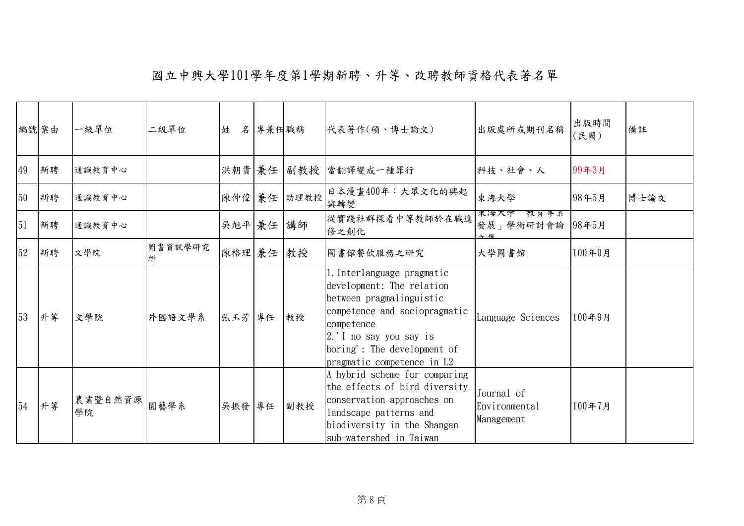|    | 編號 案由 | 一級單位          | 二級單位         | 姓      | 名 專兼任職稱 |      | 代表著作(碩、博士論文)                                                                                                                                                                                                              | 出版處所或期刊名稱                                 | 出版時間<br>(民國) | 備註   |
|----|-------|---------------|--------------|--------|---------|------|---------------------------------------------------------------------------------------------------------------------------------------------------------------------------------------------------------------------------|-------------------------------------------|--------------|------|
| 49 | 新聘    | 通識教育中心        |              | 洪朝貴 兼任 |         |      | 副教授  當翻譯變成一種罪行                                                                                                                                                                                                            | 科技、社會、人                                   | 99年3月        |      |
| 50 | 新聘    | 通識教育中心        |              | 陳仲偉 兼任 |         | 助理教授 | 日本漫畫400年:大眾文化的興起<br>與轉變                                                                                                                                                                                                   | 東海大學                                      | 98年5月        | 博士論文 |
| 51 | 新聘    | 通識教育中心        |              | 吳旭平 兼任 |         | 講師   | 從實踐社群探看中等教師於在職進<br>修之創化                                                                                                                                                                                                   | 果海天字 教員等業<br>發展」學術研討會論                    | 98年5月        |      |
| 52 | 新聘    | 文學院           | 圖書資訊學研究<br>所 | 陳格理 兼任 |         | 教授   | 圖書館餐飲服務之研究                                                                                                                                                                                                                | 大學圖書館                                     | 100年9月       |      |
| 53 | 升等    | 文學院           | 外國語文學系       | 張玉芳 專任 |         | 教授   | 1. Interlanguage pragmatic<br>development: The relation<br>between pragmalinguistic<br>competence and sociopragmatic<br>competence<br>2. I no say you say is<br>boring': The development of<br>pragmatic competence in L2 | Language Sciences                         | 100年9月       |      |
| 54 | 升等    | 農業暨自然資源<br>學院 | 園藝學系         | 吳振發 專任 |         | 副教授  | A hybrid scheme for comparing<br>the effects of bird diversity<br>conservation approaches on<br>landscape patterns and<br>biodiversity in the Shangan<br>sub-watershed in Taiwan                                          | Journal of<br>Environmental<br>Management | 100年7月       |      |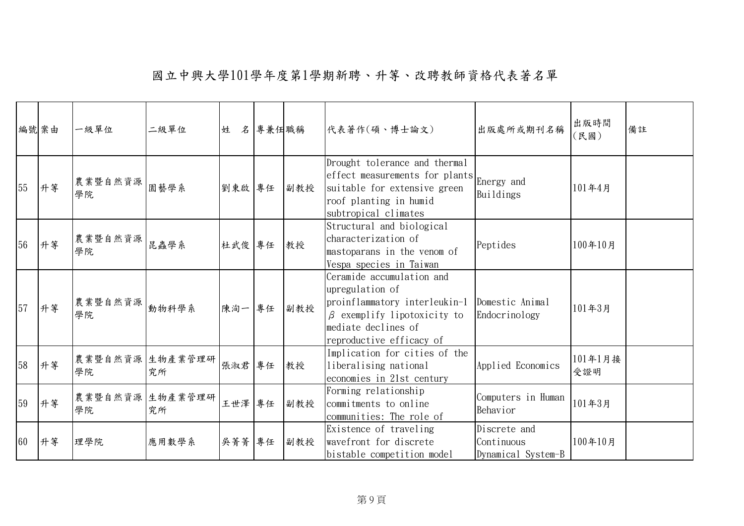| 編號案由 |    | 一級單位                     | 二級單位                  | 姓      | 名專兼任職稱 |     | 代表著作(碩、博士論文)                                                                                                                                                          | 出版處所或期刊名稱                                        | 出版時間<br>(民國)   | 備註 |
|------|----|--------------------------|-----------------------|--------|--------|-----|-----------------------------------------------------------------------------------------------------------------------------------------------------------------------|--------------------------------------------------|----------------|----|
| 55   | 升等 | 農業暨自然資源 <br>學院           | 園藝學系                  | 劉東啟 專任 |        | 副教授 | Drought tolerance and thermal<br>effect measurements for plants Energy and<br>suitable for extensive green<br>roof planting in humid<br>subtropical climates          | Buildings                                        | 101年4月         |    |
| 56   | 升等 | 農業暨自然資源<br>學院            | 昆蟲學系                  | 杜武俊 專任 |        | 教授  | Structural and biological<br>characterization of<br>mastoparans in the venom of<br>Vespa species in Taiwan                                                            | Peptides                                         | 100年10月        |    |
| 57   | 升等 | 農業暨自然資源 <br> 動物科學系<br>學院 |                       | 陳洵一    | 專任     | 副教授 | Ceramide accumulation and<br>upregulation of<br>proinflammatory interleukin-1<br>$\beta$ exemplify lipotoxicity to<br>mediate declines of<br>reproductive efficacy of | Domestic Animal<br>Endocrinology                 | 101年3月         |    |
| 58   | 升等 | 農業暨自然資源 生物產業管理研<br>學院    | 究所                    | 張淑君 專任 |        | 教授  | Implication for cities of the<br>liberalising national<br>economies in 21st century                                                                                   | Applied Economics                                | 101年1月接<br>受證明 |    |
| 59   | 升等 | 學院                       | 農業暨自然資源 生物產業管理研<br>究所 | 王世澤 專任 |        | 副教授 | Forming relationship<br>commitments to online<br>communities: The role of                                                                                             | Computers in Human<br>Behavior                   | 101年3月         |    |
| 60   | 升等 | 理學院                      | 應用數學系                 | 吳菁菁    | 專任     | 副教授 | Existence of traveling<br>wavefront for discrete<br>bistable competition model                                                                                        | Discrete and<br>Continuous<br>Dynamical System-B | 100年10月        |    |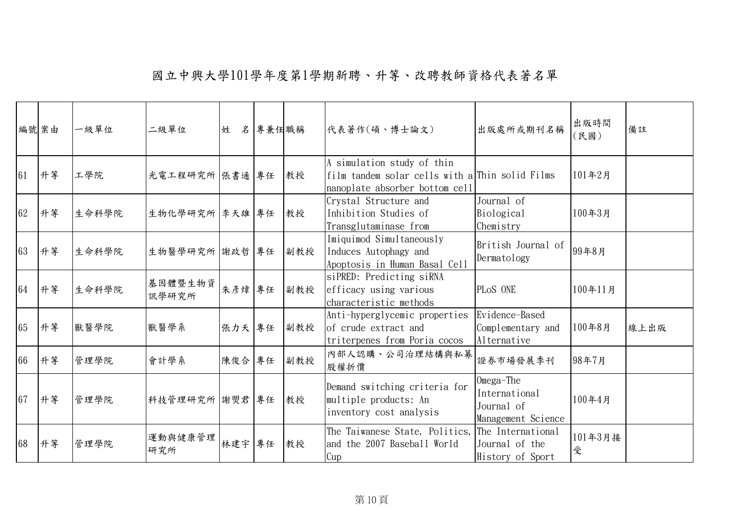|    | 編號案由 | 一級單位  | 二級單位             | 姓      | 名 專兼任職稱 |     | 代表著作(碩、博士論文)                                                                                                    | 出版處所或期刊名稱                                                      | 出版時間<br>〔民國〕 | 備註   |
|----|------|-------|------------------|--------|---------|-----|-----------------------------------------------------------------------------------------------------------------|----------------------------------------------------------------|--------------|------|
| 61 | 升等   | 工學院   | 光電工程研究所 張書通 專任   |        |         | 教授  | A simulation study of thin<br>film tandem solar cells with a Thin solid Films<br>nanoplate absorber bottom cell |                                                                | 101年2月       |      |
| 62 | 升等   | 生命科學院 | 生物化學研究所 李天雄 專任   |        |         | 教授  | Crystal Structure and<br>Inhibition Studies of<br>Transglutaminase from                                         | Journal of<br>Biological<br>Chemistry                          | 100年3月       |      |
| 63 | 升等   | 生命科學院 | 生物醫學研究所 謝政哲 專任   |        |         | 副教授 | Imiquimod Simultaneously<br>Induces Autophagy and<br>Apoptosis in Human Basal Cell                              | British Journal of<br>Dermatology                              | 99年8月        |      |
| 64 | 升等   | 生命科學院 | 基因體暨生物資<br>訊學研究所 | 朱彥煒 專任 |         | 副教授 | siPRED: Predicting siRNA<br>efficacy using various<br>characteristic methods                                    | PLOS ONE                                                       | 100年11月      |      |
| 65 | 升等   | 獸醫學院  | 獸醫學系             | 張力天 專任 |         | 副教授 | Anti-hyperglycemic properties<br>of crude extract and<br>triterpenes from Poria cocos                           | Evidence-Based<br>Complementary and<br>Alternative             | 100年8月       | 線上出版 |
| 66 | 升等   | 管理學院  | 會計學系             | 陳俊合 專任 |         | 副教授 | 內部人認購、公司治理結構與私募<br>股權折價                                                                                         | 證券市場發展季刊                                                       | 98年7月        |      |
| 67 | 升等   | 管理學院  | 科技管理研究所 謝焸君 專任   |        |         | 教授  | Demand switching criteria for<br>multiple products: An<br>inventory cost analysis                               | Omega-The<br>International<br>Journal of<br>Management Science | 100年4月       |      |
| 68 | 升等   | 管理學院  | 運動與健康管理<br>研究所   | 林建宇 專任 |         | 教授  | The Taiwanese State, Politics,<br>and the 2007 Baseball World<br>Cup                                            | The International<br>Journal of the<br>History of Sport        | 101年3月接<br>受 |      |